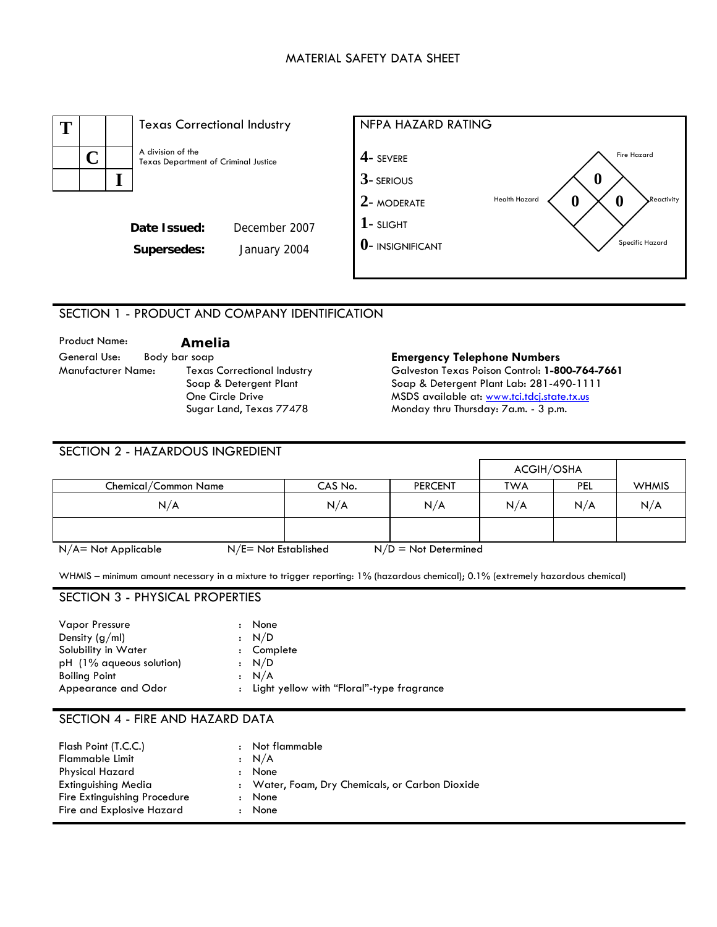### MATERIAL SAFETY DATA SHEET



## SECTION 1 - PRODUCT AND COMPANY IDENTIFICATION

Product Name: **Amelia**  General Use: Body bar soap **Emergency Telephone Numbers**  Manufacturer Name: Texas Correctional Industry Soap & Detergent Plant One Circle Drive Sugar Land, Texas 77478

Galveston Texas Poison Control: **1-800-764-7661**  Soap & Detergent Plant Lab: 281-490-1111 MSDS available at: [www.tci.tdcj.state.tx.us](http://www.tci.tdcj.state.tx.us/) Monday thru Thursday: 7a.m. - 3 p.m.

| SECTION 2 - HAZARDOUS INGREDIENT |                      |         |                        |                   |            |              |
|----------------------------------|----------------------|---------|------------------------|-------------------|------------|--------------|
|                                  |                      |         |                        | <b>ACGIH/OSHA</b> |            |              |
| Chemical/Common Name             |                      | CAS No. | <b>PERCENT</b>         | <b>TWA</b>        | <b>PEL</b> | <b>WHMIS</b> |
| N/A                              |                      | N/A     | N/A                    | N/A               | N/A        | N/A          |
|                                  |                      |         |                        |                   |            |              |
| $N/A$ = Not Applicable           | N/E= Not Established |         | $N/D = Not$ Determined |                   |            |              |

WHMIS – minimum amount necessary in a mixture to trigger reporting: 1% (hazardous chemical); 0.1% (extremely hazardous chemical)

#### SECTION 3 - PHYSICAL PROPERTIES

| <b>Vapor Pressure</b>    | $\ddot{\phantom{0}}$ | None                                        |
|--------------------------|----------------------|---------------------------------------------|
| Density $(g/ml)$         |                      | : N/D                                       |
| Solubility in Water      |                      | : Complete                                  |
| pH (1% aqueous solution) |                      | : N/D                                       |
| <b>Boiling Point</b>     |                      | : N/A                                       |
| Appearance and Odor      |                      | : Light yellow with "Floral"-type fragrance |

### SECTION 4 - FIRE AND HAZARD DATA

| Flash Point (T.C.C.)                | : Not flammable                                 |
|-------------------------------------|-------------------------------------------------|
| <b>Flammable Limit</b>              | : N/A                                           |
| <b>Physical Hazard</b><br>$\bullet$ | None                                            |
| <b>Extinguishing Media</b>          | : Water, Foam, Dry Chemicals, or Carbon Dioxide |
| Fire Extinguishing Procedure        | None                                            |
| Fire and Explosive Hazard           | None                                            |